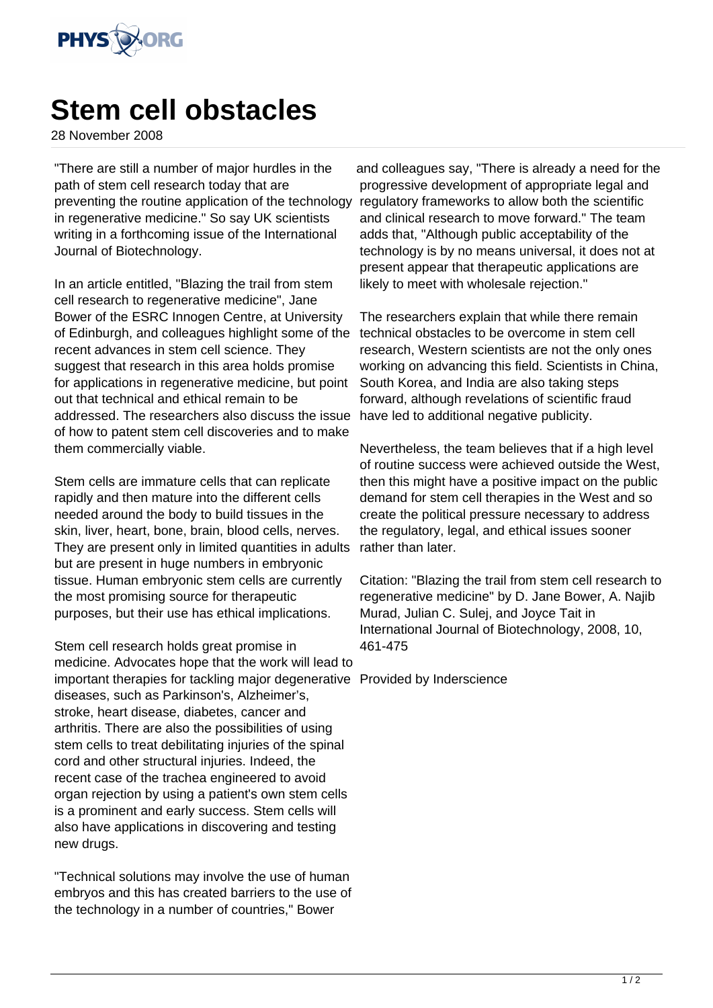

## **Stem cell obstacles**

28 November 2008

"There are still a number of major hurdles in the path of stem cell research today that are preventing the routine application of the technology in regenerative medicine." So say UK scientists writing in a forthcoming issue of the International Journal of Biotechnology.

In an article entitled, "Blazing the trail from stem cell research to regenerative medicine", Jane Bower of the ESRC Innogen Centre, at University of Edinburgh, and colleagues highlight some of the recent advances in stem cell science. They suggest that research in this area holds promise for applications in regenerative medicine, but point out that technical and ethical remain to be addressed. The researchers also discuss the issue of how to patent stem cell discoveries and to make them commercially viable.

Stem cells are immature cells that can replicate rapidly and then mature into the different cells needed around the body to build tissues in the skin, liver, heart, bone, brain, blood cells, nerves. They are present only in limited quantities in adults but are present in huge numbers in embryonic tissue. Human embryonic stem cells are currently the most promising source for therapeutic purposes, but their use has ethical implications.

Stem cell research holds great promise in medicine. Advocates hope that the work will lead to important therapies for tackling major degenerative Provided by Inderscience diseases, such as Parkinson's, Alzheimer's, stroke, heart disease, diabetes, cancer and arthritis. There are also the possibilities of using stem cells to treat debilitating injuries of the spinal cord and other structural injuries. Indeed, the recent case of the trachea engineered to avoid organ rejection by using a patient's own stem cells is a prominent and early success. Stem cells will also have applications in discovering and testing new drugs.

"Technical solutions may involve the use of human embryos and this has created barriers to the use of the technology in a number of countries," Bower

and colleagues say, "There is already a need for the progressive development of appropriate legal and regulatory frameworks to allow both the scientific and clinical research to move forward." The team adds that, "Although public acceptability of the technology is by no means universal, it does not at present appear that therapeutic applications are likely to meet with wholesale rejection."

The researchers explain that while there remain technical obstacles to be overcome in stem cell research, Western scientists are not the only ones working on advancing this field. Scientists in China, South Korea, and India are also taking steps forward, although revelations of scientific fraud have led to additional negative publicity.

Nevertheless, the team believes that if a high level of routine success were achieved outside the West, then this might have a positive impact on the public demand for stem cell therapies in the West and so create the political pressure necessary to address the regulatory, legal, and ethical issues sooner rather than later.

Citation: "Blazing the trail from stem cell research to regenerative medicine" by D. Jane Bower, A. Najib Murad, Julian C. Sulej, and Joyce Tait in International Journal of Biotechnology, 2008, 10, 461-475